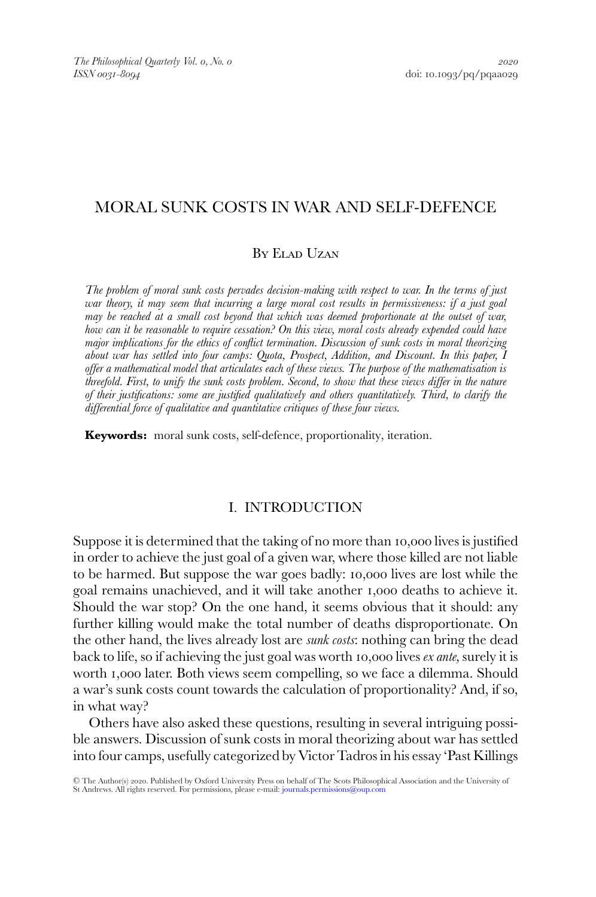# MORAL SUNK COSTS IN WAR AND SELF-DEFENCE

# By Elad Uzan

*The problem of moral sunk costs pervades decision-making with respect to war. In the terms of just war theory, it may seem that incurring a large moral cost results in permissiveness: if a just goal may be reached at a small cost beyond that which was deemed proportionate at the outset of war, how can it be reasonable to require cessation? On this view, moral costs already expended could have major implications for the ethics of conflict termination. Discussion of sunk costs in moral theorizing about war has settled into four camps: Quota, Prospect, Addition, and Discount. In this paper, I offer a mathematical model that articulates each of these views. The purpose of the mathematisation is threefold. First, to unify the sunk costs problem. Second, to show that these views differ in the nature of their justifications: some are justified qualitatively and others quantitatively. Third, to clarify the differential force of qualitative and quantitative critiques of these four views.*

**Keywords:** moral sunk costs, self-defence, proportionality, iteration.

## I. INTRODUCTION

Suppose it is determined that the taking of no more than 10,000 lives is justified in order to achieve the just goal of a given war, where those killed are not liable to be harmed. But suppose the war goes badly: 10,000 lives are lost while the goal remains unachieved, and it will take another 1,000 deaths to achieve it. Should the war stop? On the one hand, it seems obvious that it should: any further killing would make the total number of deaths disproportionate. On the other hand, the lives already lost are *sunk costs*: nothing can bring the dead back to life, so if achieving the just goal was worth 10,000 lives *ex ante,* surely it is worth 1,000 later. Both views seem compelling, so we face a dilemma. Should a war's sunk costs count towards the calculation of proportionality? And, if so, in what way?

Others have also asked these questions, resulting in several intriguing possible answers. Discussion of sunk costs in moral theorizing about war has settled into four camps, usefully categorized by Victor Tadros in his essay 'Past Killings

<sup>-</sup>C The Author(s) 2020. Published by Oxford University Press on behalf of The Scots Philosophical Association and the University of St Andrews. All rights reserved. For permissions, please e-mail: [journals.permissions@oup.com](mailto:journals.permissions@oup.com)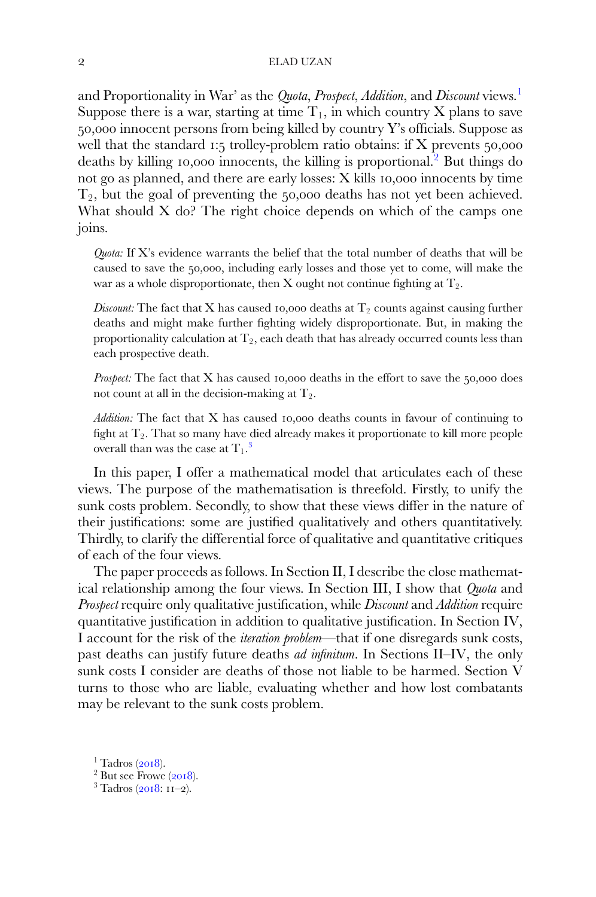and Proportionality in War' as the *Quota*, *Prospect*, *Addition*, and *Discount* views.[1](#page-1-0) Suppose there is a war, starting at time  $T_1$ , in which country X plans to save 50,000 innocent persons from being killed by country Y's officials. Suppose as well that the standard 1:5 trolley-problem ratio obtains: if X prevents 50,000 deaths by killing 10,000 innocents, the killing is proportional.<sup>2</sup> But things do not go as planned, and there are early losses: X kills 10,000 innocents by time  $T_2$ , but the goal of preventing the 50,000 deaths has not yet been achieved. What should X do? The right choice depends on which of the camps one joins.

*Quota:* If X's evidence warrants the belief that the total number of deaths that will be caused to save the 50,000, including early losses and those yet to come, will make the war as a whole disproportionate, then  $X$  ought not continue fighting at  $T_2$ .

*Discount:* The fact that X has caused 10,000 deaths at  $T_2$  counts against causing further deaths and might make further fighting widely disproportionate. But, in making the proportionality calculation at  $T_2$ , each death that has already occurred counts less than each prospective death.

*Prospect:* The fact that X has caused 10,000 deaths in the effort to save the 50,000 does not count at all in the decision-making at  $T_2$ .

*Addition:* The fact that X has caused 10,000 deaths counts in favour of continuing to fight at  $T_2$ . That so many have died already makes it proportionate to kill more people overall than was the case at  $\mathrm{T_{1}.^3}$  $\mathrm{T_{1}.^3}$  $\mathrm{T_{1}.^3}$ 

In this paper, I offer a mathematical model that articulates each of these views. The purpose of the mathematisation is threefold. Firstly, to unify the sunk costs problem. Secondly, to show that these views differ in the nature of their justifications: some are justified qualitatively and others quantitatively. Thirdly, to clarify the differential force of qualitative and quantitative critiques of each of the four views.

The paper proceeds as follows. In Section II, I describe the close mathematical relationship among the four views. In Section III, I show that *Quota* and *Prospect* require only qualitative justification, while *Discount* and *Addition* require quantitative justification in addition to qualitative justification. In Section IV, I account for the risk of the *iteration problem*—that if one disregards sunk costs, past deaths can justify future deaths *ad infinitum*. In Sections II–IV, the only sunk costs I consider are deaths of those not liable to be harmed. Section V turns to those who are liable, evaluating whether and how lost combatants may be relevant to the sunk costs problem.

<span id="page-1-1"></span><span id="page-1-0"></span><sup>&</sup>lt;sup>1</sup> Tadros ([2018](#page-18-0)).<br>
<sup>2</sup> But see Frowe (2018).<br>
<sup>3</sup> Tadros (2018: 11–2).

<span id="page-1-2"></span>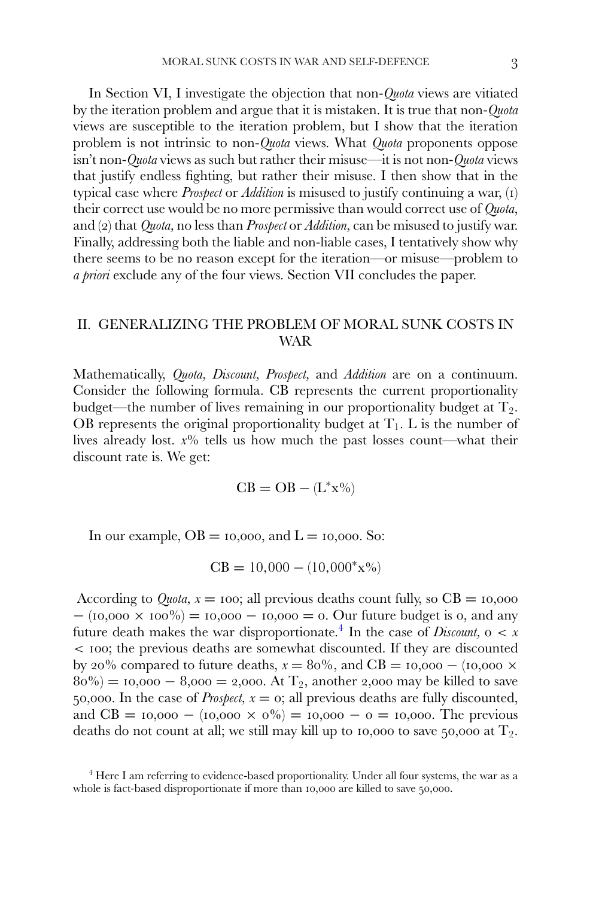In Section VI, I investigate the objection that non-*Quota* views are vitiated by the iteration problem and argue that it is mistaken. It is true that non-*Quota* views are susceptible to the iteration problem, but I show that the iteration problem is not intrinsic to non-*Quota* views. What *Quota* proponents oppose isn't non-*Quota* views as such but rather their misuse—it is not non-*Quota* views that justify endless fighting, but rather their misuse. I then show that in the typical case where *Prospect* or *Addition* is misused to justify continuing a war, (1) their correct use would be no more permissive than would correct use of *Quota*, and (2) that *Quota,* no less than *Prospect* or *Addition,* can be misused to justify war. Finally, addressing both the liable and non-liable cases, I tentatively show why there seems to be no reason except for the iteration—or misuse—problem to *a priori* exclude any of the four views. Section VII concludes the paper.

### II. GENERALIZING THE PROBLEM OF MORAL SUNK COSTS IN WAR

Mathematically, *Quota, Discount, Prospect,* and *Addition* are on a continuum. Consider the following formula. CB represents the current proportionality budget—the number of lives remaining in our proportionality budget at  $T_2$ . OB represents the original proportionality budget at  $T_1$ . L is the number of lives already lost. *x*% tells us how much the past losses count—what their discount rate is. We get:

 $CB = OB - (L^*x\%)$ 

In our example,  $OB = 10,000$ , and  $L = 10,000$ . So:

$$
CB = 10,000 - (10,000^* \mathbf{x} \%)
$$

According to *Quota,*  $x = 100$ ; all previous deaths count fully, so  $CB = 10,000$  $-(10,000 \times 100\%) = 10,000 - 10,000 = 0$ . Our future budget is 0, and any future death makes the war disproportionate.<sup>[4](#page-2-0)</sup> In the case of *Discount*,  $0 < x$ < 100; the previous deaths are somewhat discounted. If they are discounted by 20% compared to future deaths,  $x = 80\%$ , and CB = 10,000 - (10,000  $\times$  $80\% = 10,000 - 8,000 = 2,000$ . At  $T_2$ , another 2,000 may be killed to save 50,000. In the case of *Prospect*,  $x = 0$ ; all previous deaths are fully discounted, and CB =  $10,000 - (10,000 \times 0\%) = 10,000 - 0 = 10,000$ . The previous deaths do not count at all; we still may kill up to 10,000 to save 50,000 at  $T_2$ .

<span id="page-2-0"></span><sup>4</sup> Here I am referring to evidence-based proportionality. Under all four systems, the war as a whole is fact-based disproportionate if more than 10,000 are killed to save 50,000.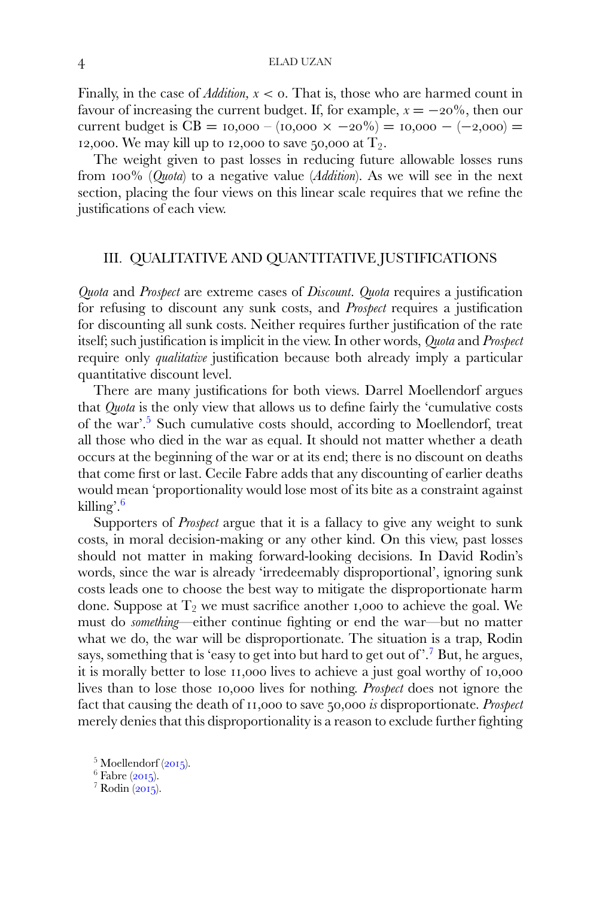Finally, in the case of *Addition,*  $x < \infty$ *.* That is, those who are harmed count in favour of increasing the current budget. If, for example,  $x = -20\%$ , then our current budget is  $\ddot{CB} = 10,000 - (10,000 \times -20\%) = 10,000 - (-2,000) =$ 12,000. We may kill up to 12,000 to save 50,000 at  $T_2$ .

The weight given to past losses in reducing future allowable losses runs from 100% (*Quota*) to a negative value (*Addition*). As we will see in the next section, placing the four views on this linear scale requires that we refine the justifications of each view.

## III. QUALITATIVE AND QUANTITATIVE JUSTIFICATIONS

*Quota* and *Prospect* are extreme cases of *Discount*. *Quota* requires a justification for refusing to discount any sunk costs, and *Prospect* requires a justification for discounting all sunk costs. Neither requires further justification of the rate itself; such justification is implicit in the view. In other words, *Quota* and *Prospect* require only *qualitative* justification because both already imply a particular quantitative discount level.

There are many justifications for both views. Darrel Moellendorf argues that *Quota* is the only view that allows us to define fairly the 'cumulative costs of the war'[.5](#page-3-0) Such cumulative costs should, according to Moellendorf, treat all those who died in the war as equal. It should not matter whether a death occurs at the beginning of the war or at its end; there is no discount on deaths that come first or last. Cecile Fabre adds that any discounting of earlier deaths would mean 'proportionality would lose most of its bite as a constraint against killing'.[6](#page-3-1)

Supporters of *Prospect* argue that it is a fallacy to give any weight to sunk costs, in moral decision-making or any other kind. On this view, past losses should not matter in making forward-looking decisions. In David Rodin's words, since the war is already 'irredeemably disproportional', ignoring sunk costs leads one to choose the best way to mitigate the disproportionate harm done. Suppose at  $T_2$  we must sacrifice another 1,000 to achieve the goal. We must do *something*—either continue fighting or end the war—but no matter what we do, the war will be disproportionate. The situation is a trap, Rodin says, something that is 'easy to get into but hard to get out of '.[7](#page-3-2) But, he argues, it is morally better to lose 11,000 lives to achieve a just goal worthy of 10,000 lives than to lose those 10,000 lives for nothing. *Prospect* does not ignore the fact that causing the death of 11,000 to save 50,000 *is* disproportionate. *Prospect* merely denies that this disproportionality is a reason to exclude further fighting

<span id="page-3-1"></span><span id="page-3-0"></span><sup>&</sup>lt;sup>5</sup> Moellendorf ([2015](#page-18-4)).<br>
<sup>6</sup> Fabre (2015).<br>
<sup>7</sup> Rodin (2015).

<span id="page-3-2"></span>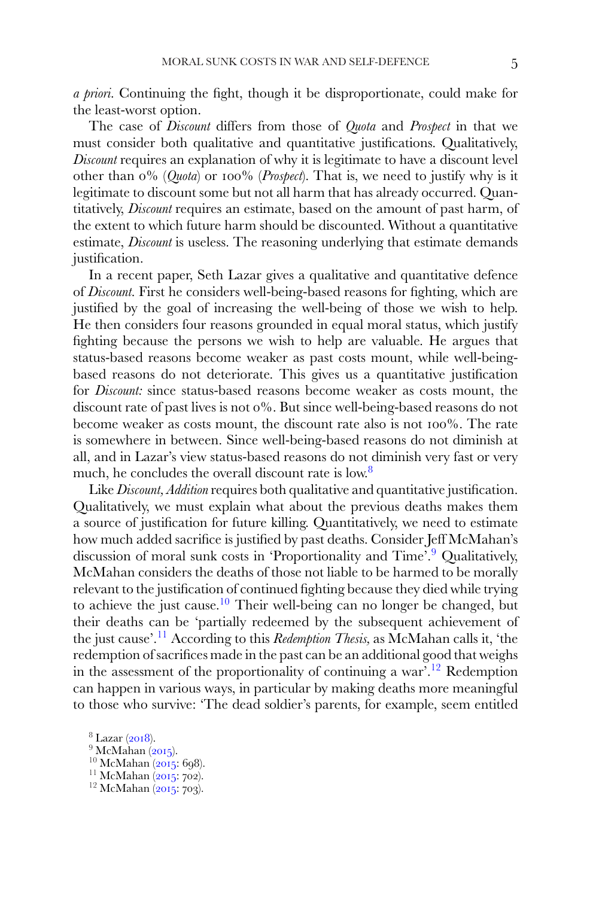*a priori*. Continuing the fight, though it be disproportionate, could make for the least-worst option.

The case of *Discount* differs from those of *Quota* and *Prospect* in that we must consider both qualitative and quantitative justifications. Qualitatively, *Discount* requires an explanation of why it is legitimate to have a discount level other than 0% (*Quota*) or 100% (*Prospect*). That is, we need to justify why is it legitimate to discount some but not all harm that has already occurred. Quantitatively, *Discount* requires an estimate, based on the amount of past harm, of the extent to which future harm should be discounted. Without a quantitative estimate, *Discount* is useless. The reasoning underlying that estimate demands justification.

In a recent paper, Seth Lazar gives a qualitative and quantitative defence of *Discount*. First he considers well-being-based reasons for fighting, which are justified by the goal of increasing the well-being of those we wish to help. He then considers four reasons grounded in equal moral status, which justify fighting because the persons we wish to help are valuable. He argues that status-based reasons become weaker as past costs mount, while well-beingbased reasons do not deteriorate. This gives us a quantitative justification for *Discount:* since status-based reasons become weaker as costs mount, the discount rate of past lives is not 0%. But since well-being-based reasons do not become weaker as costs mount, the discount rate also is not 100%. The rate is somewhere in between. Since well-being-based reasons do not diminish at all, and in Lazar's view status-based reasons do not diminish very fast or very much, he concludes the overall discount rate is low.[8](#page-4-0)

Like *Discount, Addition* requires both qualitative and quantitative justification. Qualitatively, we must explain what about the previous deaths makes them a source of justification for future killing. Quantitatively, we need to estimate how much added sacrifice is justified by past deaths. Consider Jeff McMahan's discussion of moral sunk costs in 'Proportionality and Time'.<sup>9</sup> Qualitatively, McMahan considers the deaths of those not liable to be harmed to be morally relevant to the justification of continued fighting because they died while trying to achieve the just cause.<sup>[10](#page-4-2)</sup> Their well-being can no longer be changed, but their deaths can be 'partially redeemed by the subsequent achievement of the just cause'.[11](#page-4-3) According to this *Redemption Thesis,* as McMahan calls it, 'the redemption of sacrifices made in the past can be an additional good that weighs in the assessment of the proportionality of continuing a war'[.12](#page-4-4) Redemption can happen in various ways, in particular by making deaths more meaningful to those who survive: 'The dead soldier's parents, for example, seem entitled

<span id="page-4-4"></span><span id="page-4-3"></span><span id="page-4-2"></span><span id="page-4-1"></span><span id="page-4-0"></span> $\begin{array}{l} 8 \text{ Lazar (2018).}\\ \text{9 } \text{McMahan (2015).}\\ 10 \text{McMahan (2015: 698).}\\ \text{11 } \text{McMahan (2015: 702).}\\ \text{12 } \text{McMahan (2015: 703).} \end{array}$  $\begin{array}{l} 8 \text{ Lazar (2018).}\\ \text{9 } \text{McMahan (2015).}\\ 10 \text{McMahan (2015: 698).}\\ \text{11 } \text{McMahan (2015: 702).}\\ \text{12 } \text{McMahan (2015: 703).} \end{array}$  $\begin{array}{l} 8 \text{ Lazar (2018).}\\ \text{9 } \text{McMahan (2015).}\\ 10 \text{McMahan (2015: 698).}\\ \text{11 } \text{McMahan (2015: 702).}\\ \text{12 } \text{McMahan (2015: 703).} \end{array}$  $\begin{array}{l} 8 \text{ Lazar (2018).}\\ \text{9 } \text{McMahan (2015).}\\ 10 \text{McMahan (2015: 698).}\\ \text{11 } \text{McMahan (2015: 702).}\\ \text{12 } \text{McMahan (2015: 703).} \end{array}$  $\begin{array}{l} 8 \text{ Lazar (2018).}\\ \text{9 } \text{McMahan (2015).}\\ 10 \text{McMahan (2015: 698).}\\ \text{11 } \text{McMahan (2015: 702).}\\ \text{12 } \text{McMahan (2015: 703).} \end{array}$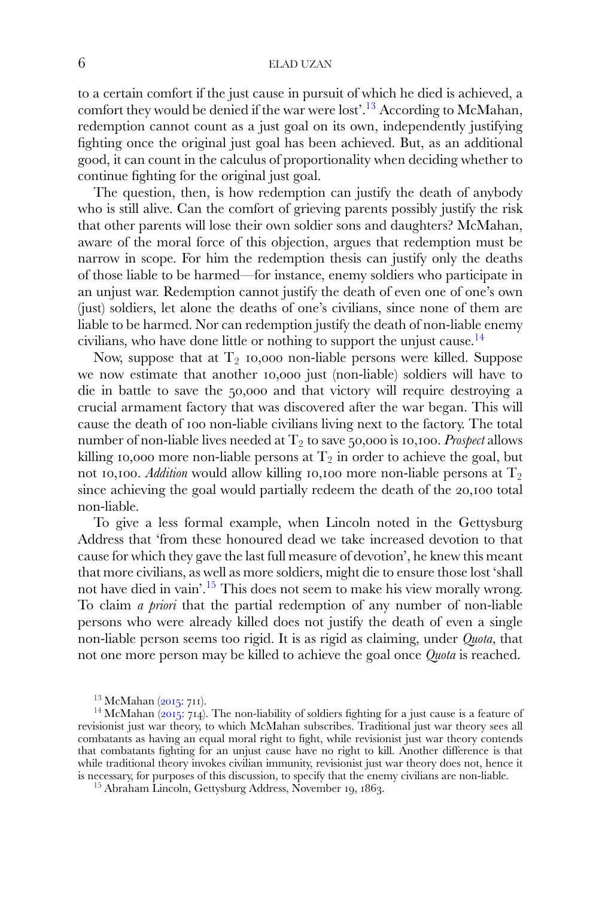### 6 ELAD UZAN

to a certain comfort if the just cause in pursuit of which he died is achieved, a comfort they would be denied if the war were lost'.<sup>[13](#page-5-0)</sup> According to McMahan, redemption cannot count as a just goal on its own, independently justifying fighting once the original just goal has been achieved. But, as an additional good, it can count in the calculus of proportionality when deciding whether to continue fighting for the original just goal.

The question, then, is how redemption can justify the death of anybody who is still alive. Can the comfort of grieving parents possibly justify the risk that other parents will lose their own soldier sons and daughters? McMahan, aware of the moral force of this objection, argues that redemption must be narrow in scope. For him the redemption thesis can justify only the deaths of those liable to be harmed—for instance, enemy soldiers who participate in an unjust war. Redemption cannot justify the death of even one of one's own (just) soldiers, let alone the deaths of one's civilians, since none of them are liable to be harmed. Nor can redemption justify the death of non-liable enemy civilians, who have done little or nothing to support the unjust cause.<sup>[14](#page-5-1)</sup>

Now, suppose that at  $T_2$  10,000 non-liable persons were killed. Suppose we now estimate that another 10,000 just (non-liable) soldiers will have to die in battle to save the 50,000 and that victory will require destroying a crucial armament factory that was discovered after the war began. This will cause the death of 100 non-liable civilians living next to the factory. The total number of non-liable lives needed at  $T_2$  to save 50,000 is 10,100. *Prospect* allows killing 10,000 more non-liable persons at  $T_2$  in order to achieve the goal, but not 10,100. *Addition* would allow killing 10,100 more non-liable persons at  $T_2$ since achieving the goal would partially redeem the death of the 20,100 total non-liable.

To give a less formal example, when Lincoln noted in the Gettysburg Address that 'from these honoured dead we take increased devotion to that cause for which they gave the last full measure of devotion', he knew this meant that more civilians, as well as more soldiers, might die to ensure those lost 'shall not have died in vain'.[15](#page-5-2) This does not seem to make his view morally wrong. To claim *a priori* that the partial redemption of any number of non-liable persons who were already killed does not justify the death of even a single non-liable person seems too rigid. It is as rigid as claiming, under *Quota,* that not one more person may be killed to achieve the goal once *Quota* is reached.

<span id="page-5-1"></span><span id="page-5-0"></span>

<sup>&</sup>lt;sup>13</sup> McMahan ([2015](#page-18-6): 711).<br><sup>14</sup> McMahan (2015: 714). The non-liability of soldiers fighting for a just cause is a feature of revisionist just war theory, to which McMahan subscribes. Traditional just war theory sees all combatants as having an equal moral right to fight, while revisionist just war theory contends that combatants fighting for an unjust cause have no right to kill. Another difference is that while traditional theory invokes civilian immunity, revisionist just war theory does not, hence it is necessary, for purposes of this discussion, to specify that the enemy civilians are non-liable. <sup>15</sup> Abraham Lincoln, Gettysburg Address, November <sup>19</sup>, <sup>1863</sup>.

<span id="page-5-2"></span>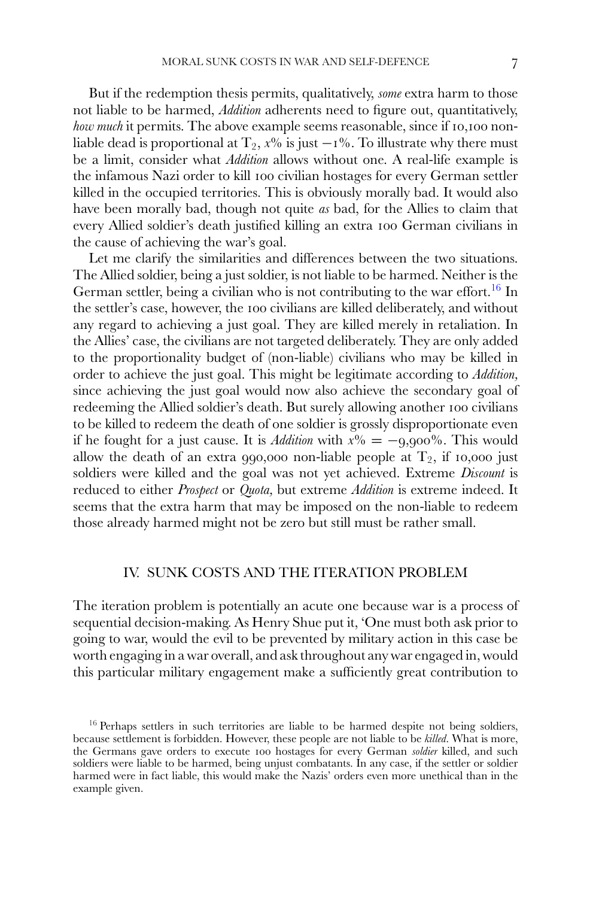But if the redemption thesis permits, qualitatively, *some* extra harm to those not liable to be harmed, *Addition* adherents need to figure out, quantitatively, *how much* it permits. The above example seems reasonable, since if 10,100 nonliable dead is proportional at  $T_2$ ,  $x\%$  is just  $-1\%$ . To illustrate why there must be a limit, consider what *Addition* allows without one. A real-life example is the infamous Nazi order to kill 100 civilian hostages for every German settler killed in the occupied territories. This is obviously morally bad. It would also have been morally bad, though not quite *as* bad, for the Allies to claim that every Allied soldier's death justified killing an extra 100 German civilians in the cause of achieving the war's goal.

Let me clarify the similarities and differences between the two situations. The Allied soldier, being a just soldier, is not liable to be harmed. Neither is the German settler, being a civilian who is not contributing to the war effort.<sup>16</sup> In the settler's case, however, the 100 civilians are killed deliberately, and without any regard to achieving a just goal. They are killed merely in retaliation. In the Allies' case, the civilians are not targeted deliberately. They are only added to the proportionality budget of (non-liable) civilians who may be killed in order to achieve the just goal. This might be legitimate according to *Addition,* since achieving the just goal would now also achieve the secondary goal of redeeming the Allied soldier's death. But surely allowing another 100 civilians to be killed to redeem the death of one soldier is grossly disproportionate even if he fought for a just cause. It is *Addition* with  $x\% = -9,900\%$ . This would allow the death of an extra 990,000 non-liable people at  $T_2$ , if 10,000 just soldiers were killed and the goal was not yet achieved. Extreme *Discount* is reduced to either *Prospect* or *Quota,* but extreme *Addition* is extreme indeed. It seems that the extra harm that may be imposed on the non-liable to redeem those already harmed might not be zero but still must be rather small.

### IV. SUNK COSTS AND THE ITERATION PROBLEM

The iteration problem is potentially an acute one because war is a process of sequential decision-making. As Henry Shue put it, 'One must both ask prior to going to war, would the evil to be prevented by military action in this case be worth engaging in a war overall, and ask throughout any war engaged in, would this particular military engagement make a sufficiently great contribution to

<span id="page-6-0"></span> $16$  Perhaps settlers in such territories are liable to be harmed despite not being soldiers, because settlement is forbidden. However, these people are not liable to be *killed*. What is more, the Germans gave orders to execute 100 hostages for every German *soldier* killed, and such soldiers were liable to be harmed, being unjust combatants. In any case, if the settler or soldier harmed were in fact liable, this would make the Nazis' orders even more unethical than in the example given.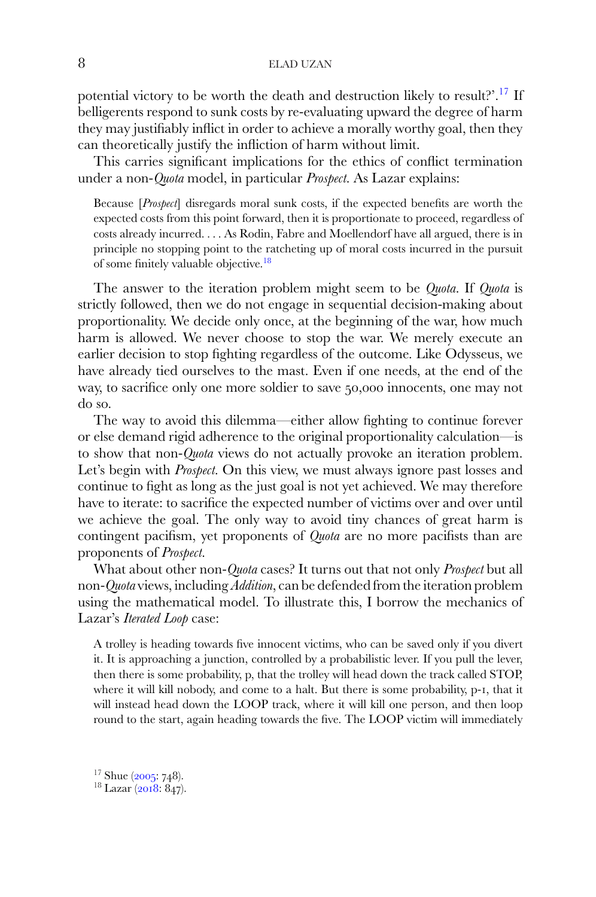potential victory to be worth the death and destruction likely to result?'[.17](#page-7-0) If belligerents respond to sunk costs by re-evaluating upward the degree of harm they may justifiably inflict in order to achieve a morally worthy goal, then they can theoretically justify the infliction of harm without limit.

This carries significant implications for the ethics of conflict termination under a non-*Quota* model, in particular *Prospect*. As Lazar explains:

Because [*Prospect*] disregards moral sunk costs, if the expected benefits are worth the expected costs from this point forward, then it is proportionate to proceed, regardless of costs already incurred. . . . As Rodin, Fabre and Moellendorf have all argued, there is in principle no stopping point to the ratcheting up of moral costs incurred in the pursuit of some finitely valuable objective[.18](#page-7-1)

The answer to the iteration problem might seem to be *Quota*. If *Quota* is strictly followed, then we do not engage in sequential decision-making about proportionality. We decide only once, at the beginning of the war, how much harm is allowed. We never choose to stop the war. We merely execute an earlier decision to stop fighting regardless of the outcome. Like Odysseus, we have already tied ourselves to the mast. Even if one needs, at the end of the way, to sacrifice only one more soldier to save 50,000 innocents, one may not do so.

The way to avoid this dilemma—either allow fighting to continue forever or else demand rigid adherence to the original proportionality calculation—is to show that non-*Quota* views do not actually provoke an iteration problem. Let's begin with *Prospect*. On this view, we must always ignore past losses and continue to fight as long as the just goal is not yet achieved. We may therefore have to iterate: to sacrifice the expected number of victims over and over until we achieve the goal. The only way to avoid tiny chances of great harm is contingent pacifism, yet proponents of *Quota* are no more pacifists than are proponents of *Prospect*.

What about other non-*Quota* cases? It turns out that not only *Prospect* but all non-*Quota* views, including *Addition*, can be defended from the iteration problem using the mathematical model. To illustrate this, I borrow the mechanics of Lazar's *Iterated Loop* case:

A trolley is heading towards five innocent victims, who can be saved only if you divert it. It is approaching a junction, controlled by a probabilistic lever. If you pull the lever, then there is some probability, p, that the trolley will head down the track called STOP, where it will kill nobody, and come to a halt. But there is some probability, p-1, that it will instead head down the LOOP track, where it will kill one person, and then loop round to the start, again heading towards the five. The LOOP victim will immediately

<span id="page-7-0"></span><sup>&</sup>lt;sup>17</sup> Shue ([2005](#page-18-7): 748).<br><sup>18</sup> Lazar ([2018](#page-18-5): 847).

<span id="page-7-1"></span>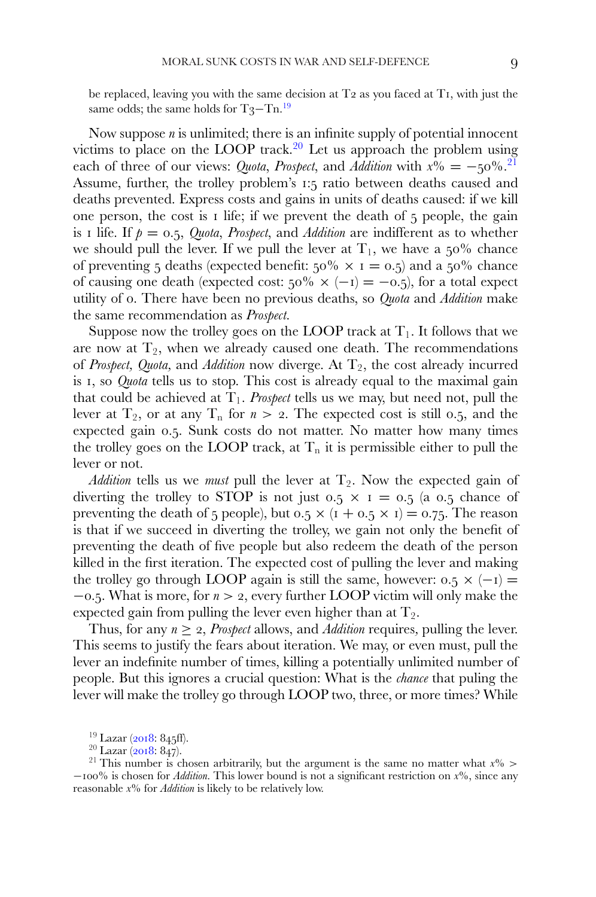be replaced, leaving you with the same decision at T2 as you faced at T1, with just the same odds; the same holds for  $T_3-Tn$ .<sup>19</sup>

Now suppose *n* is unlimited; there is an infinite supply of potential innocent victims to place on the LOOP track.<sup>[20](#page-8-1)</sup> Let us approach the problem using each of three of our views: *Quota*, *Prospect*, and *Addition* with  $x^{0} = -50\%$ .<sup>[21](#page-8-2)</sup> Assume, further, the trolley problem's 1:5 ratio between deaths caused and deaths prevented. Express costs and gains in units of deaths caused: if we kill one person, the cost is  $\bar{I}$  life; if we prevent the death of  $\bar{I}$  people, the gain is I life. If  $p = 0.5$ , *Quota*, *Prospect*, and *Addition* are indifferent as to whether we should pull the lever. If we pull the lever at  $T_1$ , we have a 50% chance of preventing 5 deaths (expected benefit:  $50\% \times 1 = 0.5$ ) and a  $50\%$  chance of causing one death (expected cost:  $50\% \times (-1) = -0.5$ ), for a total expect utility of 0. There have been no previous deaths, so *Quota* and *Addition* make the same recommendation as *Prospect*.

Suppose now the trolley goes on the LOOP track at  $T_1$ . It follows that we are now at  $T_2$ , when we already caused one death. The recommendations of *Prospect, Quota,* and *Addition* now diverge. At  $T_2$ , the cost already incurred is 1, so *Quota* tells us to stop. This cost is already equal to the maximal gain that could be achieved at  $T_1$ . *Prospect* tells us we may, but need not, pull the lever at  $T_2$ , or at any  $T_n$  for  $n > 2$ . The expected cost is still 0.5, and the expected gain 0.5. Sunk costs do not matter. No matter how many times the trolley goes on the LOOP track, at  $T_n$  it is permissible either to pull the lever or not.

*Addition* tells us we *must* pull the lever at  $T_2$ . Now the expected gain of diverting the trolley to STOP is not just  $0.5 \times I = 0.5$  (a  $0.5$  chance of preventing the death of 5 people), but  $0.5 \times (1 + 0.5 \times 1) = 0.75$ . The reason is that if we succeed in diverting the trolley, we gain not only the benefit of preventing the death of five people but also redeem the death of the person killed in the first iteration. The expected cost of pulling the lever and making the trolley go through LOOP again is still the same, however:  $0.5 \times (-1) =$ −0.5. What is more, for *n* > 2, every further LOOP victim will only make the expected gain from pulling the lever even higher than at  $T_2$ .

Thus, for any  $n \geq 2$ , *Prospect* allows, and *Addition* requires, pulling the lever. This seems to justify the fears about iteration. We may, or even must, pull the lever an indefinite number of times, killing a potentially unlimited number of people. But this ignores a crucial question: What is the *chance* that puling the lever will make the trolley go through LOOP two, three, or more times? While

<span id="page-8-1"></span><span id="page-8-0"></span>

<span id="page-8-2"></span>

<sup>&</sup>lt;sup>19</sup> Lazar ([2018](#page-18-5): 845ff).<br><sup>20</sup> Lazar (2018: 847).<br><sup>21</sup> This number is chosen arbitrarily, but the argument is the same no matter what *x*% > −100% is chosen for *Addition*. This lower bound is not a significant restriction on *x*%, since any reasonable *x*% for *Addition* is likely to be relatively low.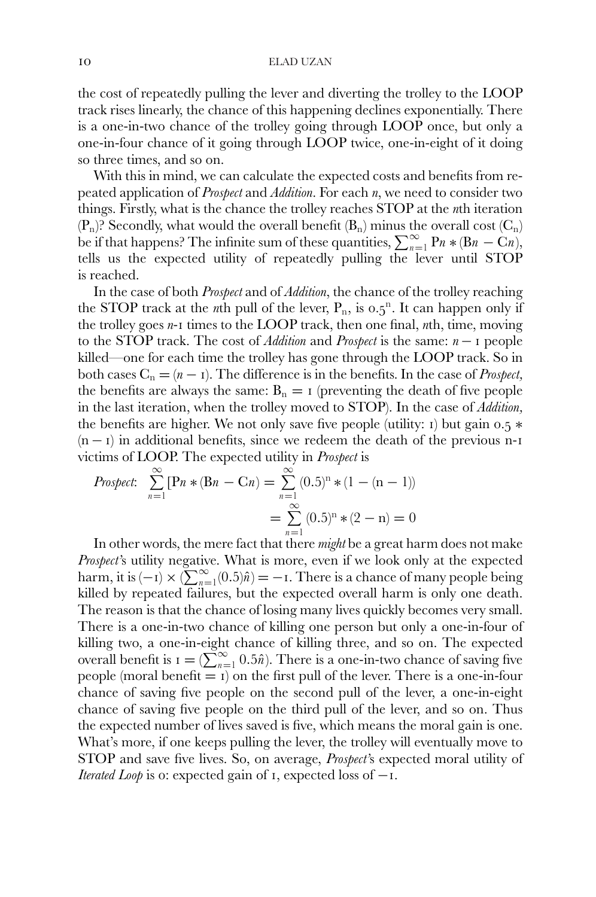the cost of repeatedly pulling the lever and diverting the trolley to the LOOP track rises linearly, the chance of this happening declines exponentially. There is a one-in-two chance of the trolley going through LOOP once, but only a one-in-four chance of it going through LOOP twice, one-in-eight of it doing so three times, and so on.

With this in mind, we can calculate the expected costs and benefits from repeated application of *Prospect* and *Addition*. For each *n*, we need to consider two things. Firstly, what is the chance the trolley reaches STOP at the *n*th iteration  $(P_n)$ ? Secondly, what would the overall benefit  $(B_n)$  minus the overall cost  $(C_n)$ be if that happens? The infinite sum of these quantities,  $\sum_{n=1}^{\infty} P_n * (B_n - C_n)$ , tells us the expected utility of repeatedly pulling the lever until STOP is reached.

In the case of both *Prospect* and of *Addition*, the chance of the trolley reaching the STOP track at the *n*th pull of the lever,  $P_n$ , is 0.5<sup>n</sup>. It can happen only if the trolley goes *n*-1 times to the LOOP track, then one final, *n*th, time, moving to the STOP track. The cost of *Addition* and *Prospect* is the same: *n* − 1 people killed—one for each time the trolley has gone through the LOOP track. So in both cases  $C_n = (n - 1)$ . The difference is in the benefits. In the case of *Prospect*, the benefits are always the same:  $B_n = I$  (preventing the death of five people in the last iteration, when the trolley moved to STOP). In the case of *Addition,* the benefits are higher. We not only save five people (utility: 1) but gain 0.5 ∗  $(n - i)$  in additional benefits, since we redeem the death of the previous n-1 victims of LOOP. The expected utility in *Prospect* is

*Proset:* 
$$
\sum_{n=1}^{\infty} [Pn * (Bn - Cn) = \sum_{n=1}^{\infty} (0.5)^n * (1 - (n - 1))
$$

$$
= \sum_{n=1}^{\infty} (0.5)^n * (2 - n) = 0
$$

*n*=1 In other words, the mere fact that there *might* be a great harm does not make *Prospect'*s utility negative. What is more, even if we look only at the expected harm, it is  $(-1) \times (\sum_{n=1}^{\infty} (0.5)\hat{n}) = -1$ . There is a chance of many people being killed by repeated failures, but the expected overall harm is only one death. The reason is that the chance of losing many lives quickly becomes very small. There is a one-in-two chance of killing one person but only a one-in-four of killing two, a one-in-eight chance of killing three, and so on. The expected overall benefit is  $I = (\sum_{n=1}^{\infty} 0.5\hat{n})$ . There is a one-in-two chance of saving five people (moral benefit  $= 1$ ) on the first pull of the lever. There is a one-in-four chance of saving five people on the second pull of the lever, a one-in-eight chance of saving five people on the third pull of the lever, and so on. Thus the expected number of lives saved is five, which means the moral gain is one. What's more, if one keeps pulling the lever, the trolley will eventually move to STOP and save five lives. So, on average, *Prospect'*s expected moral utility of *Iterated Loop* is 0: expected gain of 1, expected loss of −1.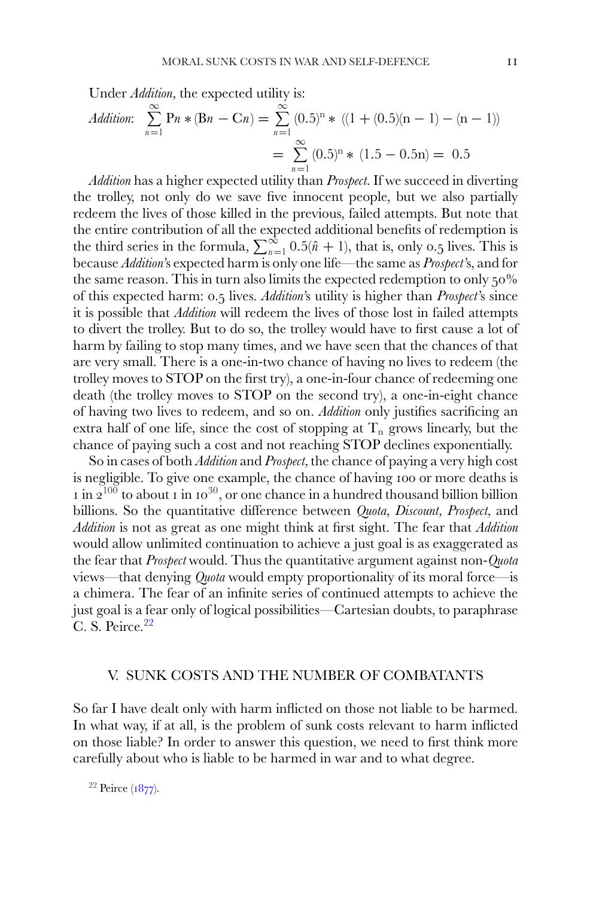Under *Addition,* the expected utility is:

Addition: 
$$
\sum_{n=1}^{\infty} \text{Pn} * (\text{Bn} - \text{Cn}) = \sum_{n=1}^{\infty} (0.5)^n * ((1 + (0.5)(n - 1) - (n - 1)))
$$

$$
= \sum_{n=1}^{\infty} (0.5)^n * (1.5 - 0.5n) = 0.5
$$

*n*=1 *Addition* has a higher expected utility than *Prospect*. If we succeed in diverting the trolley, not only do we save five innocent people, but we also partially redeem the lives of those killed in the previous, failed attempts. But note that the entire contribution of all the expected additional benefits of redemption is the third series in the formula,  $\sum_{n=1}^{\infty} 0.5(\hat{n}+1)$ , that is, only  $0.5$  lives. This is because *Addition'*s expected harm is only one life—the same as *Prospect'*s, and for the same reason. This in turn also limits the expected redemption to only 50% of this expected harm: 0.5 lives. *Addition'*s utility is higher than *Prospect'*s since it is possible that *Addition* will redeem the lives of those lost in failed attempts to divert the trolley. But to do so, the trolley would have to first cause a lot of harm by failing to stop many times, and we have seen that the chances of that are very small. There is a one-in-two chance of having no lives to redeem (the trolley moves to STOP on the first try), a one-in-four chance of redeeming one death (the trolley moves to STOP on the second try), a one-in-eight chance of having two lives to redeem, and so on. *Addition* only justifies sacrificing an extra half of one life, since the cost of stopping at  $T_n$  grows linearly, but the chance of paying such a cost and not reaching STOP declines exponentially.

So in cases of both *Addition* and *Prospect,* the chance of paying a very high cost is negligible. To give one example, the chance of having 100 or more deaths is  $1 \text{ in } 2^{100}$  to about  $1 \text{ in } 10^{30}$ , or one chance in a hundred thousand billion billion billions. So the quantitative difference between *Quota, Discount, Prospect,* and *Addition* is not as great as one might think at first sight. The fear that *Addition* would allow unlimited continuation to achieve a just goal is as exaggerated as the fear that *Prospect* would. Thus the quantitative argument against non-*Quota* views—that denying *Quota* would empty proportionality of its moral force—is a chimera. The fear of an infinite series of continued attempts to achieve the just goal is a fear only of logical possibilities—Cartesian doubts, to paraphrase C. S. Peirce.[22](#page-10-0)

#### V. SUNK COSTS AND THE NUMBER OF COMBATANTS

So far I have dealt only with harm inflicted on those not liable to be harmed. In what way, if at all, is the problem of sunk costs relevant to harm inflicted on those liable? In order to answer this question, we need to first think more carefully about who is liable to be harmed in war and to what degree.

<span id="page-10-0"></span><sup>22</sup> Peirce ( $1877$ ).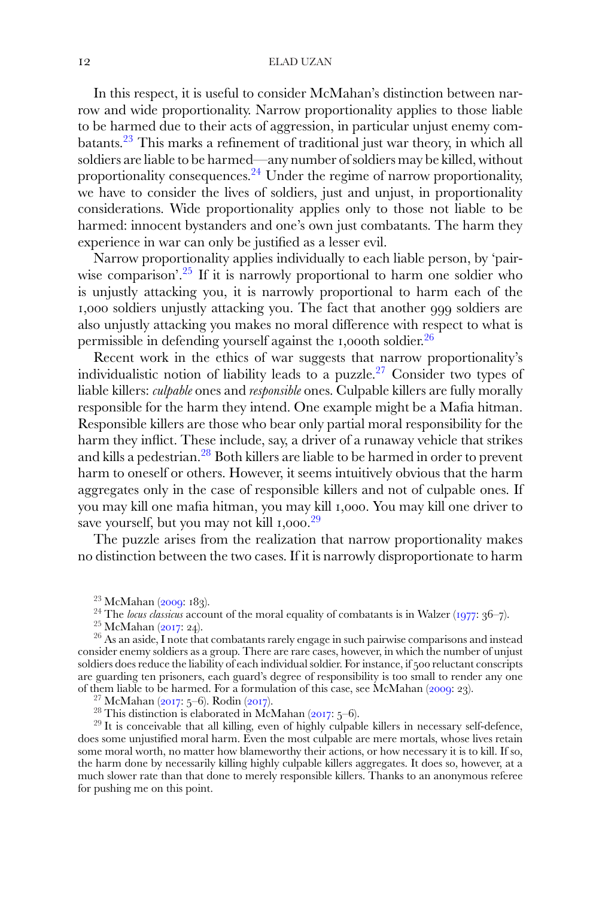#### 12 ELAD UZAN

In this respect, it is useful to consider McMahan's distinction between narrow and wide proportionality. Narrow proportionality applies to those liable to be harmed due to their acts of aggression, in particular unjust enemy combatants[.23](#page-11-0) This marks a refinement of traditional just war theory, in which all soldiers are liable to be harmed—any number of soldiers may be killed, without proportionality consequences.<sup>[24](#page-11-1)</sup> Under the regime of narrow proportionality, we have to consider the lives of soldiers, just and unjust, in proportionality considerations. Wide proportionality applies only to those not liable to be harmed: innocent bystanders and one's own just combatants. The harm they experience in war can only be justified as a lesser evil.

Narrow proportionality applies individually to each liable person, by 'pairwise comparison'.<sup>25</sup> If it is narrowly proportional to harm one soldier who is unjustly attacking you, it is narrowly proportional to harm each of the 1,000 soldiers unjustly attacking you. The fact that another 999 soldiers are also unjustly attacking you makes no moral difference with respect to what is permissible in defending yourself against the 1,000th soldier.[26](#page-11-3)

Recent work in the ethics of war suggests that narrow proportionality's individualistic notion of liability leads to a puzzle.<sup>27</sup> Consider two types of liable killers: *culpable* ones and *responsible* ones. Culpable killers are fully morally responsible for the harm they intend. One example might be a Mafia hitman. Responsible killers are those who bear only partial moral responsibility for the harm they inflict. These include, say, a driver of a runaway vehicle that strikes and kills a pedestrian.[28](#page-11-5) Both killers are liable to be harmed in order to prevent harm to oneself or others. However, it seems intuitively obvious that the harm aggregates only in the case of responsible killers and not of culpable ones. If you may kill one mafia hitman, you may kill 1,000. You may kill one driver to save yourself, but you may not kill 1,000.<sup>[29](#page-11-6)</sup>

The puzzle arises from the realization that narrow proportionality makes no distinction between the two cases. If it is narrowly disproportionate to harm

<span id="page-11-3"></span>

<span id="page-11-5"></span><span id="page-11-4"></span>

<span id="page-11-6"></span>

27 McMahan ([2017](#page-18-11): 5–6). Rodin (2017).<br>
<sup>27</sup> McMahan (2017: 5–6). Rodin (2017).<br>
<sup>28</sup> This distinction is elaborated in McMahan (2017: 5–6).<br>
<sup>29</sup> It is conceivable that all killing, even of highly culpable killers in nece does some unjustified moral harm. Even the most culpable are mere mortals, whose lives retain some moral worth, no matter how blameworthy their actions, or how necessary it is to kill. If so, the harm done by necessarily killing highly culpable killers aggregates. It does so, however, at a much slower rate than that done to merely responsible killers. Thanks to an anonymous referee for pushing me on this point.

<span id="page-11-1"></span><span id="page-11-0"></span>

<span id="page-11-2"></span>

<sup>&</sup>lt;sup>23</sup> McMahan ([2009](#page-18-9): 183).<br><sup>24</sup> The *locus classicus* account of the moral equality of combatants is in Walzer ([1977](#page-18-10): 36–7).<br><sup>25</sup> McMahan ([2017](#page-18-11): 24).<br><sup>26</sup> As an aside, I note that combatants rarely engage in such pairwise consider enemy soldiers as a group. There are rare cases, however, in which the number of unjust soldiers does reduce the liability of each individual soldier. For instance, if 500 reluctant conscripts are guarding ten prisoners, each guard's degree of responsibility is too small to render any one of them liable to be harmed. For a formulation of this case, see McMahan (2009: 23).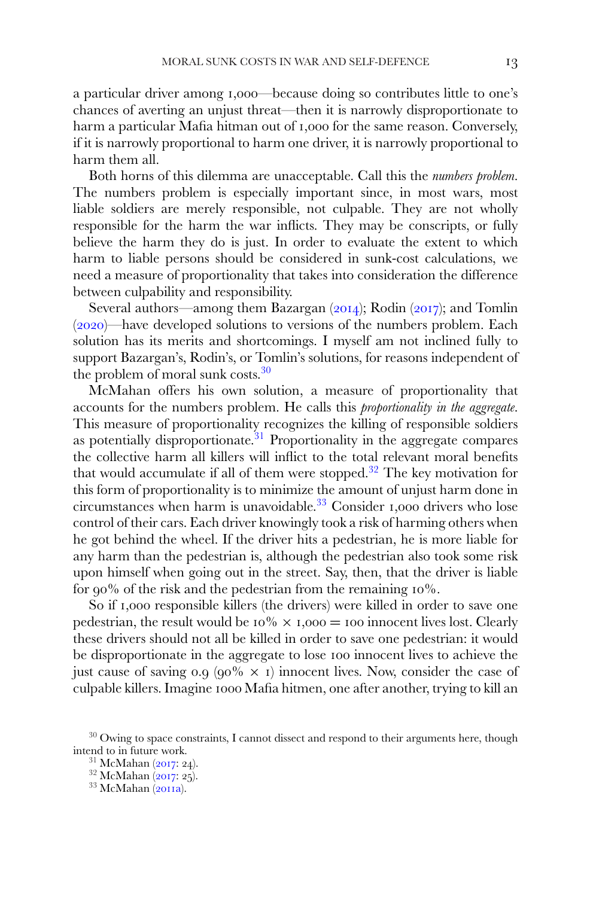a particular driver among 1,000—because doing so contributes little to one's chances of averting an unjust threat—then it is narrowly disproportionate to harm a particular Mafia hitman out of 1,000 for the same reason. Conversely, if it is narrowly proportional to harm one driver, it is narrowly proportional to harm them all.

Both horns of this dilemma are unacceptable. Call this the *numbers problem*. The numbers problem is especially important since, in most wars, most liable soldiers are merely responsible, not culpable. They are not wholly responsible for the harm the war inflicts. They may be conscripts, or fully believe the harm they do is just. In order to evaluate the extent to which harm to liable persons should be considered in sunk-cost calculations, we need a measure of proportionality that takes into consideration the difference between culpability and responsibility.

Several authors—among them Bazargan ([2014](#page-18-13)); Rodin ([2017](#page-18-12)); and Tomlin ([2020](#page-18-14))—have developed solutions to versions of the numbers problem. Each solution has its merits and shortcomings. I myself am not inclined fully to support Bazargan's, Rodin's, or Tomlin's solutions, for reasons independent of the problem of moral sunk costs. $30$ 

McMahan offers his own solution, a measure of proportionality that accounts for the numbers problem. He calls this *proportionality in the aggregate*. This measure of proportionality recognizes the killing of responsible soldiers as potentially disproportionate.<sup>[31](#page-12-1)</sup> Proportionality in the aggregate compares the collective harm all killers will inflict to the total relevant moral benefits that would accumulate if all of them were stopped. $32$  The key motivation for this form of proportionality is to minimize the amount of unjust harm done in circumstances when harm is unavoidable.<sup>33</sup> Consider 1,000 drivers who lose control of their cars. Each driver knowingly took a risk of harming others when he got behind the wheel. If the driver hits a pedestrian, he is more liable for any harm than the pedestrian is, although the pedestrian also took some risk upon himself when going out in the street. Say, then, that the driver is liable for 90% of the risk and the pedestrian from the remaining 10%.

So if 1,000 responsible killers (the drivers) were killed in order to save one pedestrian, the result would be  $10\% \times 1,000 = 100$  innocent lives lost. Clearly these drivers should not all be killed in order to save one pedestrian: it would be disproportionate in the aggregate to lose 100 innocent lives to achieve the just cause of saving 0.9 (90%  $\times$  1) innocent lives. Now, consider the case of culpable killers. Imagine 1000 Mafia hitmen, one after another, trying to kill an

<span id="page-12-0"></span> $^{30}$  Owing to space constraints, I cannot dissect and respond to their arguments here, though intend to in future work.

<span id="page-12-2"></span><span id="page-12-1"></span> $\frac{31}{32}$  McMahan ([2017](#page-18-11): 24).<br> $\frac{32}{33}$  McMahan (2017: 25).<br> $\frac{33}{31}$  McMahan ([2011](#page-18-15)a).

<span id="page-12-3"></span>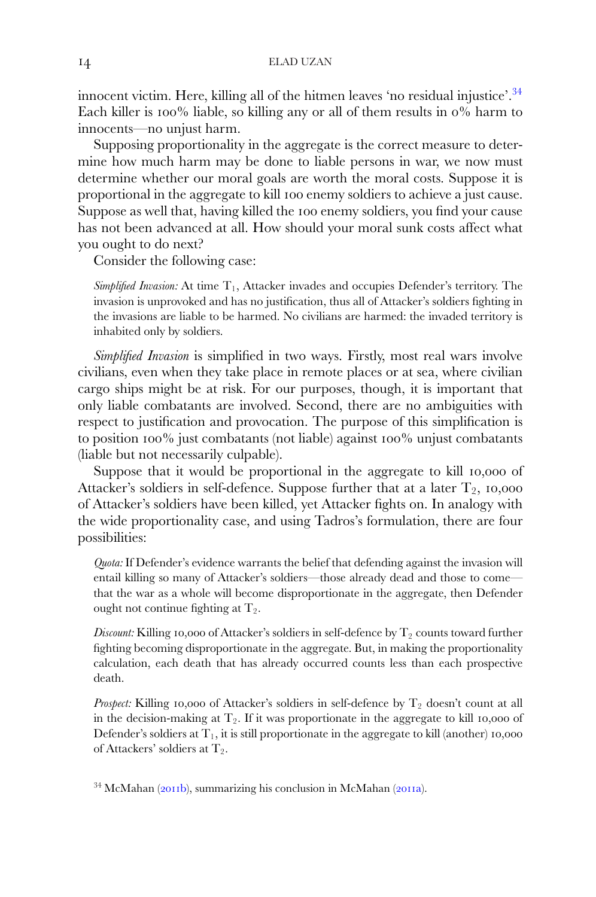innocent victim. Here, killing all of the hitmen leaves 'no residual injustice'.<sup>[34](#page-13-0)</sup> Each killer is 100% liable, so killing any or all of them results in 0% harm to innocents—no unjust harm.

Supposing proportionality in the aggregate is the correct measure to determine how much harm may be done to liable persons in war, we now must determine whether our moral goals are worth the moral costs. Suppose it is proportional in the aggregate to kill 100 enemy soldiers to achieve a just cause. Suppose as well that, having killed the 100 enemy soldiers, you find your cause has not been advanced at all. How should your moral sunk costs affect what you ought to do next?

Consider the following case:

*Simplified Invasion:* At time  $T_1$ , Attacker invades and occupies Defender's territory. The invasion is unprovoked and has no justification, thus all of Attacker's soldiers fighting in the invasions are liable to be harmed. No civilians are harmed: the invaded territory is inhabited only by soldiers.

*Simplified Invasion* is simplified in two ways. Firstly, most real wars involve civilians, even when they take place in remote places or at sea, where civilian cargo ships might be at risk. For our purposes, though, it is important that only liable combatants are involved. Second, there are no ambiguities with respect to justification and provocation. The purpose of this simplification is to position 100% just combatants (not liable) against 100% unjust combatants (liable but not necessarily culpable).

Suppose that it would be proportional in the aggregate to kill 10,000 of Attacker's soldiers in self-defence. Suppose further that at a later  $T_2$ , 10,000 of Attacker's soldiers have been killed, yet Attacker fights on. In analogy with the wide proportionality case, and using Tadros's formulation, there are four possibilities:

*Quota:* If Defender's evidence warrants the belief that defending against the invasion will entail killing so many of Attacker's soldiers—those already dead and those to come that the war as a whole will become disproportionate in the aggregate, then Defender ought not continue fighting at  $T_2$ .

*Discount:* Killing 10,000 of Attacker's soldiers in self-defence by  $T_2$  counts toward further fighting becoming disproportionate in the aggregate. But, in making the proportionality calculation, each death that has already occurred counts less than each prospective death.

*Prospect:* Killing 10,000 of Attacker's soldiers in self-defence by  $T_2$  doesn't count at all in the decision-making at  $T_2$ . If it was proportionate in the aggregate to kill 10,000 of Defender's soldiers at  $T_1$ , it is still proportionate in the aggregate to kill (another) 10,000 of Attackers' soldiers at  $T_2$ .

<span id="page-13-0"></span><sup>34</sup> McMahan ([2011](#page-18-16)b), summarizing his conclusion in McMahan ([2011](#page-18-15)a).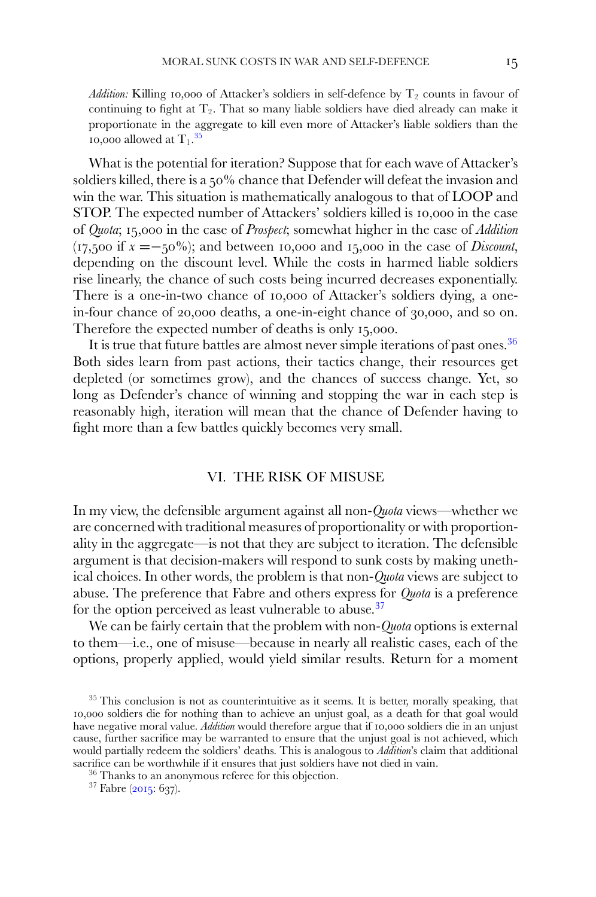*Addition:* Killing 10,000 of Attacker's soldiers in self-defence by  $T_2$  counts in favour of continuing to fight at  $T_2$ . That so many liable soldiers have died already can make it proportionate in the aggregate to kill even more of Attacker's liable soldiers than the 10,000 allowed at  $T_1$ .<sup>[35](#page-14-0)</sup>

What is the potential for iteration? Suppose that for each wave of Attacker's soldiers killed, there is a 50% chance that Defender will defeat the invasion and win the war. This situation is mathematically analogous to that of LOOP and STOP. The expected number of Attackers' soldiers killed is 10,000 in the case of *Quota*; 15,000 in the case of *Prospect*; somewhat higher in the case of *Addition* (17,500 if *x* =−50%); and between 10,000 and 15,000 in the case of *Discount*, depending on the discount level. While the costs in harmed liable soldiers rise linearly, the chance of such costs being incurred decreases exponentially. There is a one-in-two chance of 10,000 of Attacker's soldiers dying, a onein-four chance of 20,000 deaths, a one-in-eight chance of 30,000, and so on. Therefore the expected number of deaths is only 15,000.

It is true that future battles are almost never simple iterations of past ones.<sup>36</sup> Both sides learn from past actions, their tactics change, their resources get depleted (or sometimes grow), and the chances of success change. Yet, so long as Defender's chance of winning and stopping the war in each step is reasonably high, iteration will mean that the chance of Defender having to fight more than a few battles quickly becomes very small.

### VI. THE RISK OF MISUSE

In my view, the defensible argument against all non-*Quota* views—whether we are concerned with traditional measures of proportionality or with proportionality in the aggregate—is not that they are subject to iteration. The defensible argument is that decision-makers will respond to sunk costs by making unethical choices. In other words, the problem is that non-*Quota* views are subject to abuse. The preference that Fabre and others express for *Quota* is a preference for the option perceived as least vulnerable to abuse.<sup>[37](#page-14-2)</sup>

We can be fairly certain that the problem with non-*Quota* options is external to them—i.e., one of misuse—because in nearly all realistic cases, each of the options, properly applied, would yield similar results. Return for a moment

<span id="page-14-0"></span> $35$  This conclusion is not as counterintuitive as it seems. It is better, morally speaking, that 10,000 soldiers die for nothing than to achieve an unjust goal, as a death for that goal would have negative moral value. *Addition* would therefore argue that if 10,000 soldiers die in an unjust cause, further sacrifice may be warranted to ensure that the unjust goal is not achieved, which would partially redeem the soldiers' deaths. This is analogous to *Addition*'s claim that additional sacrifice can be worthwhile if it ensures that just soldiers have not died in vain.  $36$  Thanks to an anonymous referee for this objection.  $37$  Fabre ([2015](#page-18-3): 637).

<span id="page-14-2"></span><span id="page-14-1"></span>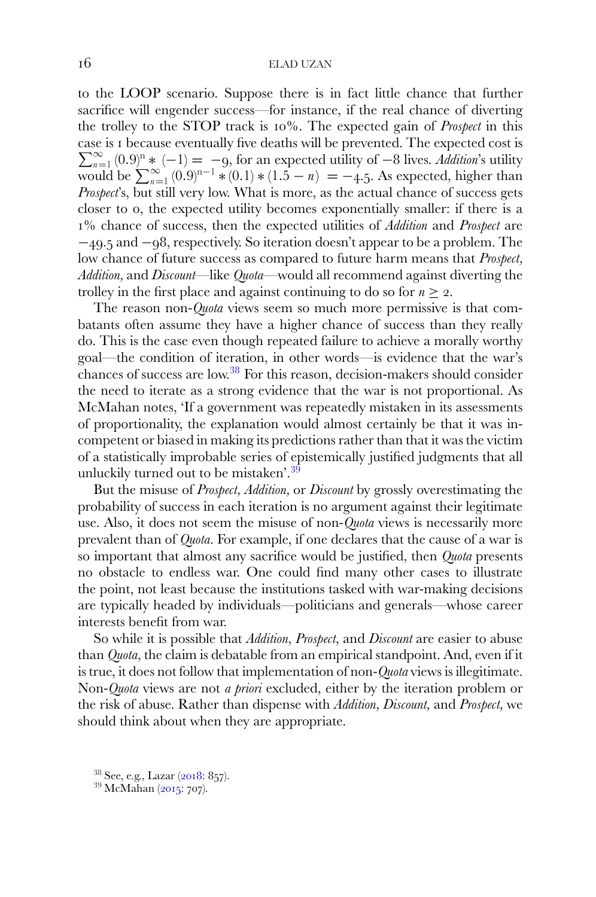to the LOOP scenario. Suppose there is in fact little chance that further sacrifice will engender success—for instance, if the real chance of diverting the trolley to the STOP track is 10%. The expected gain of *Prospect* in this case is I because eventually five deaths will be prevented. The expected cost is case is 1 because eventually five deaths will be prevented. The expected cost is  $\sum_{n=1}^{\infty} (0.9)^n * (-1) = -9$ , for an expected utility of  $-8$  lives. *Addition*'s utility  $\sum_{n=1}^{\infty} (0.9)^n * (-1) = -9$ , for an expected utility of −8 lives. *Addition*'s utility be  $\sum_{n=1}^{\infty} (0.9)^{n-1} * (0.1) * (1.5 - n) = -4.5$ . As expected, higher than *Prospect*'s, but still very low. What is more, as the actual chance of success gets closer to 0, the expected utility becomes exponentially smaller: if there is a 1% chance of success, then the expected utilities of *Addition* and *Prospect* are −49.5 and −98, respectively. So iteration doesn't appear to be a problem. The low chance of future success as compared to future harm means that *Prospect, Addition,* and *Discount*—like *Quota*—would all recommend against diverting the trolley in the first place and against continuing to do so for  $n \geq 2$ .

The reason non-*Quota* views seem so much more permissive is that combatants often assume they have a higher chance of success than they really do. This is the case even though repeated failure to achieve a morally worthy goal—the condition of iteration, in other words—is evidence that the war's chances of success are low.[38](#page-15-0) For this reason, decision-makers should consider the need to iterate as a strong evidence that the war is not proportional. As McMahan notes, 'If a government was repeatedly mistaken in its assessments of proportionality, the explanation would almost certainly be that it was incompetent or biased in making its predictions rather than that it was the victim of a statistically improbable series of epistemically justified judgments that all unluckily turned out to be mistaken'.<sup>[39](#page-15-1)</sup>

But the misuse of *Prospect, Addition,* or *Discount* by grossly overestimating the probability of success in each iteration is no argument against their legitimate use. Also, it does not seem the misuse of non-*Quota* views is necessarily more prevalent than of *Quota*. For example, if one declares that the cause of a war is so important that almost any sacrifice would be justified, then *Quota* presents no obstacle to endless war. One could find many other cases to illustrate the point, not least because the institutions tasked with war-making decisions are typically headed by individuals—politicians and generals—whose career interests benefit from war.

So while it is possible that *Addition*, *Prospect*, and *Discount* are easier to abuse than *Quota*, the claim is debatable from an empirical standpoint. And, even if it is true, it does not follow that implementation of non-*Quota* views is illegitimate. Non-*Quota* views are not *a priori* excluded, either by the iteration problem or the risk of abuse. Rather than dispense with *Addition, Discount,* and *Prospect,* we should think about when they are appropriate.

<span id="page-15-1"></span>

<span id="page-15-0"></span><sup>&</sup>lt;sup>38</sup> See, e.g., Lazar ([2018](#page-18-5): 857).<br><sup>39</sup> McMahan ([2015](#page-18-6): 707).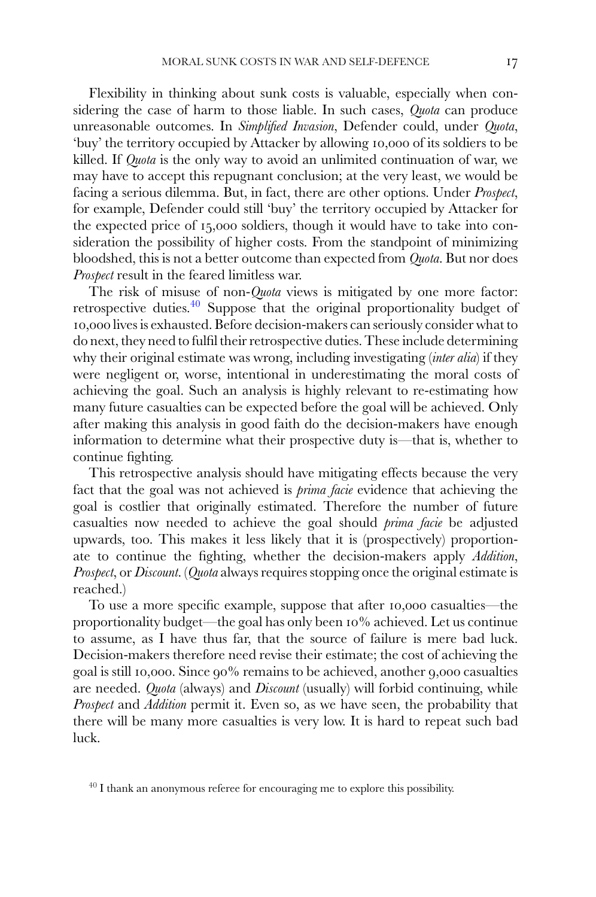Flexibility in thinking about sunk costs is valuable, especially when considering the case of harm to those liable. In such cases, *Quota* can produce unreasonable outcomes. In *Simplified Invasion*, Defender could, under *Quota*, 'buy' the territory occupied by Attacker by allowing 10,000 of its soldiers to be killed. If *Quota* is the only way to avoid an unlimited continuation of war, we may have to accept this repugnant conclusion; at the very least, we would be facing a serious dilemma. But, in fact, there are other options. Under *Prospect*, for example, Defender could still 'buy' the territory occupied by Attacker for the expected price of 15,000 soldiers, though it would have to take into consideration the possibility of higher costs. From the standpoint of minimizing bloodshed, this is not a better outcome than expected from *Quota*. But nor does *Prospect* result in the feared limitless war.

The risk of misuse of non-*Quota* views is mitigated by one more factor: retrospective duties.[40](#page-16-0) Suppose that the original proportionality budget of 10,000 lives is exhausted. Before decision-makers can seriously consider what to do next, they need to fulfil their retrospective duties. These include determining why their original estimate was wrong, including investigating (*inter alia*) if they were negligent or, worse, intentional in underestimating the moral costs of achieving the goal. Such an analysis is highly relevant to re-estimating how many future casualties can be expected before the goal will be achieved. Only after making this analysis in good faith do the decision-makers have enough information to determine what their prospective duty is—that is, whether to continue fighting.

This retrospective analysis should have mitigating effects because the very fact that the goal was not achieved is *prima facie* evidence that achieving the goal is costlier that originally estimated. Therefore the number of future casualties now needed to achieve the goal should *prima facie* be adjusted upwards, too. This makes it less likely that it is (prospectively) proportionate to continue the fighting, whether the decision-makers apply *Addition*, *Prospect*, or *Discount*. (*Quota* always requires stopping once the original estimate is reached.)

To use a more specific example, suppose that after 10,000 casualties—the proportionality budget—the goal has only been 10% achieved. Let us continue to assume, as I have thus far, that the source of failure is mere bad luck. Decision-makers therefore need revise their estimate; the cost of achieving the goal is still 10,000. Since 90% remains to be achieved, another 9,000 casualties are needed. *Quota* (always) and *Discount* (usually) will forbid continuing, while *Prospect* and *Addition* permit it. Even so, as we have seen, the probability that there will be many more casualties is very low. It is hard to repeat such bad luck.

<span id="page-16-0"></span><sup>&</sup>lt;sup>40</sup> I thank an anonymous referee for encouraging me to explore this possibility.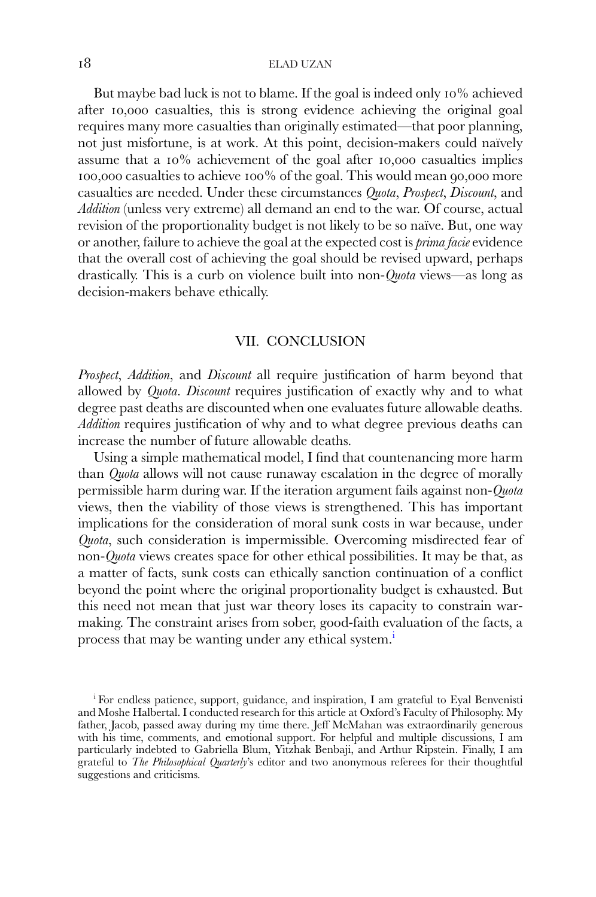#### 18 ELAD UZAN

But maybe bad luck is not to blame. If the goal is indeed only 10% achieved after 10,000 casualties, this is strong evidence achieving the original goal requires many more casualties than originally estimated—that poor planning, not just misfortune, is at work. At this point, decision-makers could naïvely assume that a 10% achievement of the goal after 10,000 casualties implies 100,000 casualties to achieve 100% of the goal. This would mean 90,000 more casualties are needed. Under these circumstances *Quota*, *Prospect*, *Discount*, and *Addition* (unless very extreme) all demand an end to the war. Of course, actual revision of the proportionality budget is not likely to be so naïve. But, one way or another, failure to achieve the goal at the expected cost is *prima facie* evidence that the overall cost of achieving the goal should be revised upward, perhaps drastically. This is a curb on violence built into non-*Quota* views—as long as decision-makers behave ethically.

### VII. CONCLUSION

*Prospect*, *Addition*, and *Discount* all require justification of harm beyond that allowed by *Quota*. *Discount* requires justification of exactly why and to what degree past deaths are discounted when one evaluates future allowable deaths. *Addition* requires justification of why and to what degree previous deaths can increase the number of future allowable deaths.

Using a simple mathematical model, I find that countenancing more harm than *Quota* allows will not cause runaway escalation in the degree of morally permissible harm during war. If the iteration argument fails against non-*Quota* views, then the viability of those views is strengthened. This has important implications for the consideration of moral sunk costs in war because, under *Quota*, such consideration is impermissible. Overcoming misdirected fear of non-*Quota* views creates space for other ethical possibilities. It may be that, as a matter of facts, sunk costs can ethically sanction continuation of a conflict beyond the point where the original proportionality budget is exhausted. But this need not mean that just war theory loses its capacity to constrain warmaking. The constraint arises from sober, good-faith evaluation of the facts, a process that may be wanting under any ethical system.<sup>i</sup>

<span id="page-17-0"></span><sup>i</sup> For endless patience, support, guidance, and inspiration, I am grateful to Eyal Benvenisti and Moshe Halbertal. I conducted research for this article at Oxford's Faculty of Philosophy. My father, Jacob, passed away during my time there. Jeff McMahan was extraordinarily generous with his time, comments, and emotional support. For helpful and multiple discussions, I am particularly indebted to Gabriella Blum, Yitzhak Benbaji, and Arthur Ripstein. Finally, I am grateful to *The Philosophical Quarterly*'s editor and two anonymous referees for their thoughtful suggestions and criticisms.